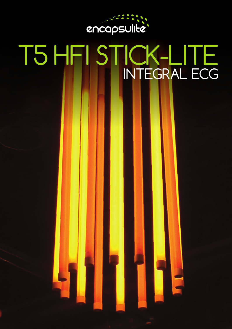

# T5 HFI STICK-LITE INTEGRAL ECG